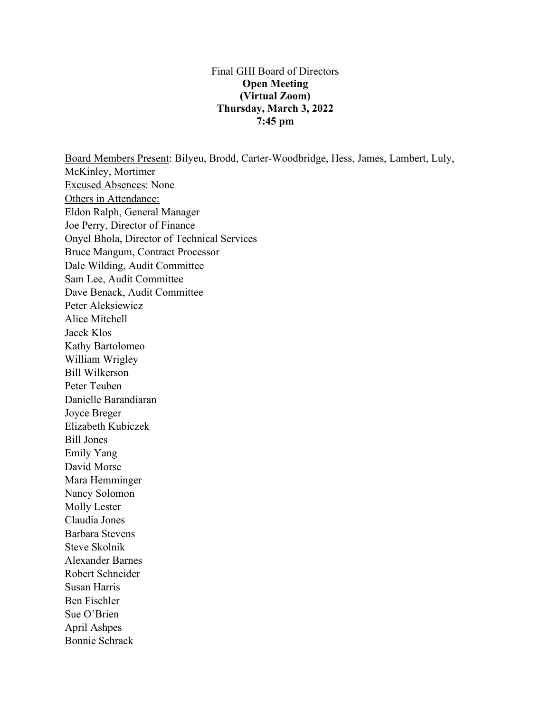## Final GHI Board of Directors **Open Meeting (Virtual Zoom) Thursday, March 3, 2022 7:45 pm**

Board Members Present: Bilyeu, Brodd, Carter-Woodbridge, Hess, James, Lambert, Luly, McKinley, Mortimer Excused Absences: None Others in Attendance: Eldon Ralph, General Manager Joe Perry, Director of Finance Onyel Bhola, Director of Technical Services Bruce Mangum, Contract Processor Dale Wilding, Audit Committee Sam Lee, Audit Committee Dave Benack, Audit Committee Peter Aleksiewicz Alice Mitchell Jacek Klos Kathy Bartolomeo William Wrigley Bill Wilkerson Peter Teuben Danielle Barandiaran Joyce Breger Elizabeth Kubiczek Bill Jones Emily Yang David Morse Mara Hemminger Nancy Solomon Molly Lester Claudia Jones Barbara Stevens Steve Skolnik Alexander Barnes Robert Schneider Susan Harris Ben Fischler Sue O'Brien April Ashpes

Bonnie Schrack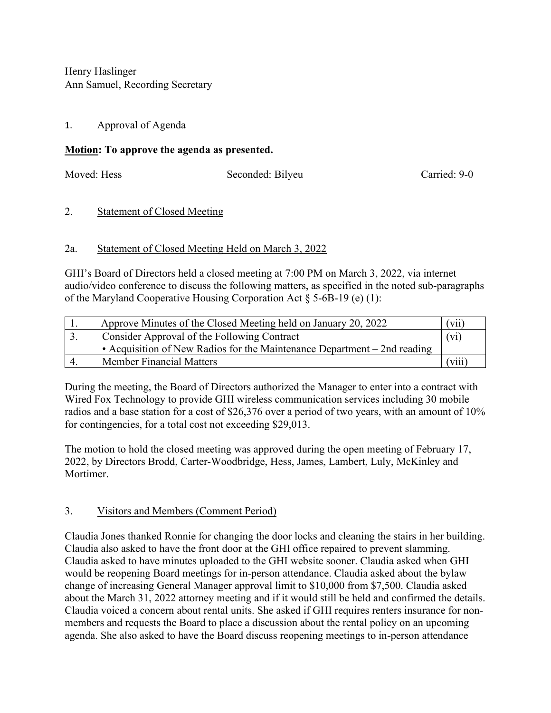Henry Haslinger Ann Samuel, Recording Secretary

# 1. Approval of Agenda

# **Motion: To approve the agenda as presented.**

Moved: Hess Seconded: Bilyeu Carried: 9-0

# 2. Statement of Closed Meeting

# 2a. Statement of Closed Meeting Held on March 3, 2022

GHI's Board of Directors held a closed meeting at 7:00 PM on March 3, 2022, via internet audio/video conference to discuss the following matters, as specified in the noted sub-paragraphs of the Maryland Cooperative Housing Corporation Act  $\S$  5-6B-19 (e) (1):

| Approve Minutes of the Closed Meeting held on January 20, 2022           | (vii)            |
|--------------------------------------------------------------------------|------------------|
| Consider Approval of the Following Contract                              | $(v_i)$          |
| • Acquisition of New Radios for the Maintenance Department – 2nd reading |                  |
| <b>Member Financial Matters</b>                                          | V <sub>111</sub> |

During the meeting, the Board of Directors authorized the Manager to enter into a contract with Wired Fox Technology to provide GHI wireless communication services including 30 mobile radios and a base station for a cost of \$26,376 over a period of two years, with an amount of 10% for contingencies, for a total cost not exceeding \$29,013.

The motion to hold the closed meeting was approved during the open meeting of February 17, 2022, by Directors Brodd, Carter-Woodbridge, Hess, James, Lambert, Luly, McKinley and Mortimer.

# 3. Visitors and Members (Comment Period)

Claudia Jones thanked Ronnie for changing the door locks and cleaning the stairs in her building. Claudia also asked to have the front door at the GHI office repaired to prevent slamming. Claudia asked to have minutes uploaded to the GHI website sooner. Claudia asked when GHI would be reopening Board meetings for in-person attendance. Claudia asked about the bylaw change of increasing General Manager approval limit to \$10,000 from \$7,500. Claudia asked about the March 31, 2022 attorney meeting and if it would still be held and confirmed the details. Claudia voiced a concern about rental units. She asked if GHI requires renters insurance for nonmembers and requests the Board to place a discussion about the rental policy on an upcoming agenda. She also asked to have the Board discuss reopening meetings to in-person attendance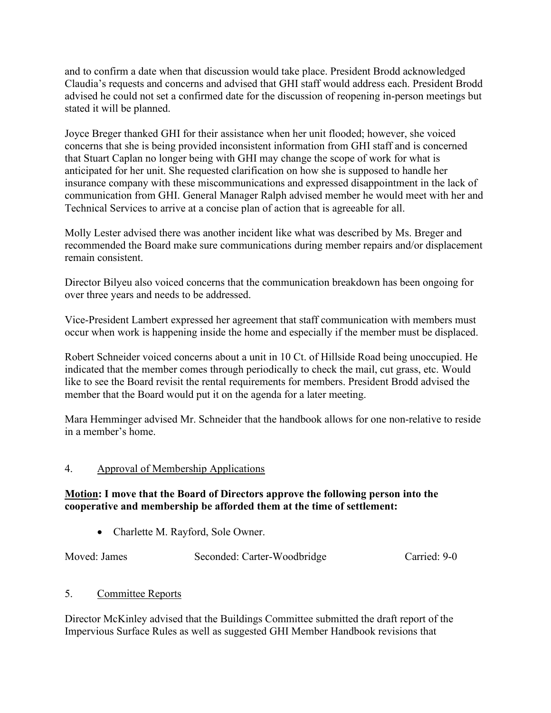and to confirm a date when that discussion would take place. President Brodd acknowledged Claudia's requests and concerns and advised that GHI staff would address each. President Brodd advised he could not set a confirmed date for the discussion of reopening in-person meetings but stated it will be planned.

Joyce Breger thanked GHI for their assistance when her unit flooded; however, she voiced concerns that she is being provided inconsistent information from GHI staff and is concerned that Stuart Caplan no longer being with GHI may change the scope of work for what is anticipated for her unit. She requested clarification on how she is supposed to handle her insurance company with these miscommunications and expressed disappointment in the lack of communication from GHI. General Manager Ralph advised member he would meet with her and Technical Services to arrive at a concise plan of action that is agreeable for all.

Molly Lester advised there was another incident like what was described by Ms. Breger and recommended the Board make sure communications during member repairs and/or displacement remain consistent.

Director Bilyeu also voiced concerns that the communication breakdown has been ongoing for over three years and needs to be addressed.

Vice-President Lambert expressed her agreement that staff communication with members must occur when work is happening inside the home and especially if the member must be displaced.

Robert Schneider voiced concerns about a unit in 10 Ct. of Hillside Road being unoccupied. He indicated that the member comes through periodically to check the mail, cut grass, etc. Would like to see the Board revisit the rental requirements for members. President Brodd advised the member that the Board would put it on the agenda for a later meeting.

Mara Hemminger advised Mr. Schneider that the handbook allows for one non-relative to reside in a member's home.

# 4. Approval of Membership Applications

# **Motion: I move that the Board of Directors approve the following person into the cooperative and membership be afforded them at the time of settlement:**

• Charlette M. Rayford, Sole Owner.

Moved: James Seconded: Carter-Woodbridge Carried: 9-0

# 5. Committee Reports

Director McKinley advised that the Buildings Committee submitted the draft report of the Impervious Surface Rules as well as suggested GHI Member Handbook revisions that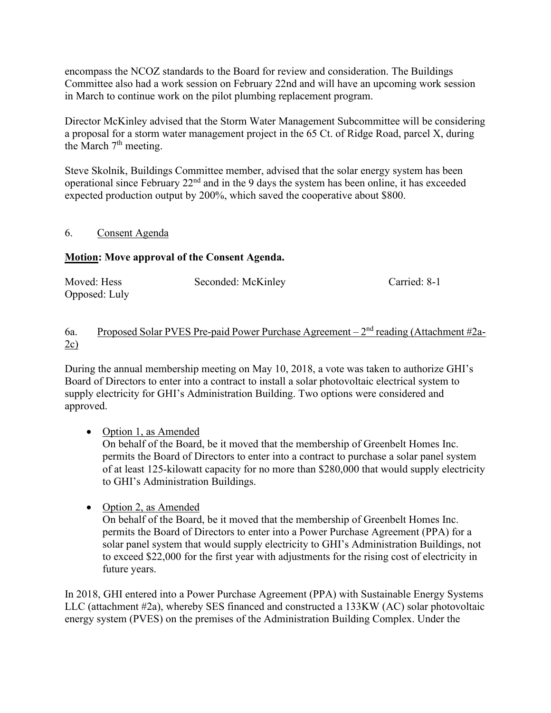encompass the NCOZ standards to the Board for review and consideration. The Buildings Committee also had a work session on February 22nd and will have an upcoming work session in March to continue work on the pilot plumbing replacement program.

Director McKinley advised that the Storm Water Management Subcommittee will be considering a proposal for a storm water management project in the 65 Ct. of Ridge Road, parcel X, during the March  $7<sup>th</sup>$  meeting.

Steve Skolnik, Buildings Committee member, advised that the solar energy system has been operational since February 22nd and in the 9 days the system has been online, it has exceeded expected production output by 200%, which saved the cooperative about \$800.

## 6. Consent Agenda

# **Motion: Move approval of the Consent Agenda.**

| Moved: Hess   | Seconded: McKinley | Carried: 8-1 |
|---------------|--------------------|--------------|
| Opposed: Luly |                    |              |

## 6a. Proposed Solar PVES Pre-paid Power Purchase Agreement –  $2<sup>nd</sup>$  reading (Attachment #2a-2c)

During the annual membership meeting on May 10, 2018, a vote was taken to authorize GHI's Board of Directors to enter into a contract to install a solar photovoltaic electrical system to supply electricity for GHI's Administration Building. Two options were considered and approved.

• Option 1, as Amended

On behalf of the Board, be it moved that the membership of Greenbelt Homes Inc. permits the Board of Directors to enter into a contract to purchase a solar panel system of at least 125-kilowatt capacity for no more than \$280,000 that would supply electricity to GHI's Administration Buildings.

• Option 2, as Amended

On behalf of the Board, be it moved that the membership of Greenbelt Homes Inc. permits the Board of Directors to enter into a Power Purchase Agreement (PPA) for a solar panel system that would supply electricity to GHI's Administration Buildings, not to exceed \$22,000 for the first year with adjustments for the rising cost of electricity in future years.

In 2018, GHI entered into a Power Purchase Agreement (PPA) with Sustainable Energy Systems LLC (attachment #2a), whereby SES financed and constructed a 133KW (AC) solar photovoltaic energy system (PVES) on the premises of the Administration Building Complex. Under the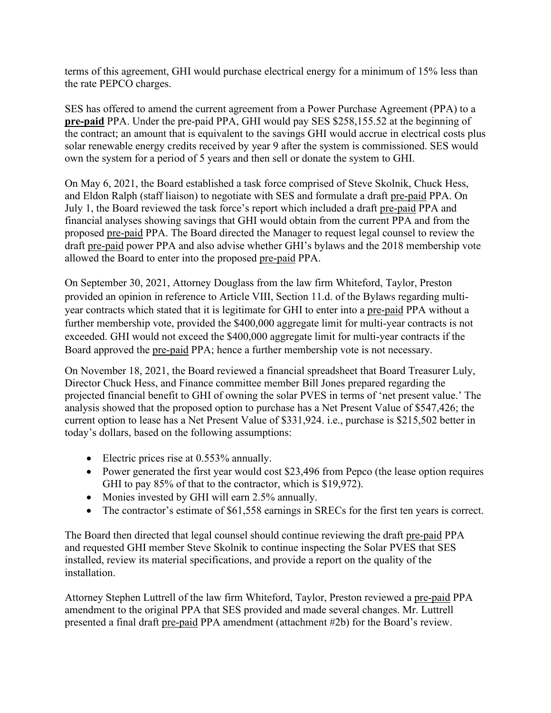terms of this agreement, GHI would purchase electrical energy for a minimum of 15% less than the rate PEPCO charges.

SES has offered to amend the current agreement from a Power Purchase Agreement (PPA) to a **pre-paid** PPA. Under the pre-paid PPA, GHI would pay SES \$258,155.52 at the beginning of the contract; an amount that is equivalent to the savings GHI would accrue in electrical costs plus solar renewable energy credits received by year 9 after the system is commissioned. SES would own the system for a period of 5 years and then sell or donate the system to GHI.

On May 6, 2021, the Board established a task force comprised of Steve Skolnik, Chuck Hess, and Eldon Ralph (staff liaison) to negotiate with SES and formulate a draft pre-paid PPA. On July 1, the Board reviewed the task force's report which included a draft pre-paid PPA and financial analyses showing savings that GHI would obtain from the current PPA and from the proposed pre-paid PPA. The Board directed the Manager to request legal counsel to review the draft pre-paid power PPA and also advise whether GHI's bylaws and the 2018 membership vote allowed the Board to enter into the proposed pre-paid PPA.

On September 30, 2021, Attorney Douglass from the law firm Whiteford, Taylor, Preston provided an opinion in reference to Article VIII, Section 11.d. of the Bylaws regarding multiyear contracts which stated that it is legitimate for GHI to enter into a pre-paid PPA without a further membership vote, provided the \$400,000 aggregate limit for multi-year contracts is not exceeded. GHI would not exceed the \$400,000 aggregate limit for multi-year contracts if the Board approved the pre-paid PPA; hence a further membership vote is not necessary.

On November 18, 2021, the Board reviewed a financial spreadsheet that Board Treasurer Luly, Director Chuck Hess, and Finance committee member Bill Jones prepared regarding the projected financial benefit to GHI of owning the solar PVES in terms of 'net present value.' The analysis showed that the proposed option to purchase has a Net Present Value of \$547,426; the current option to lease has a Net Present Value of \$331,924. i.e., purchase is \$215,502 better in today's dollars, based on the following assumptions:

- Electric prices rise at 0.553% annually.
- Power generated the first year would cost \$23,496 from Pepco (the lease option requires GHI to pay 85% of that to the contractor, which is \$19,972).
- Monies invested by GHI will earn 2.5% annually.
- The contractor's estimate of \$61,558 earnings in SRECs for the first ten years is correct.

The Board then directed that legal counsel should continue reviewing the draft pre-paid PPA and requested GHI member Steve Skolnik to continue inspecting the Solar PVES that SES installed, review its material specifications, and provide a report on the quality of the installation.

Attorney Stephen Luttrell of the law firm Whiteford, Taylor, Preston reviewed a pre-paid PPA amendment to the original PPA that SES provided and made several changes. Mr. Luttrell presented a final draft pre-paid PPA amendment (attachment #2b) for the Board's review.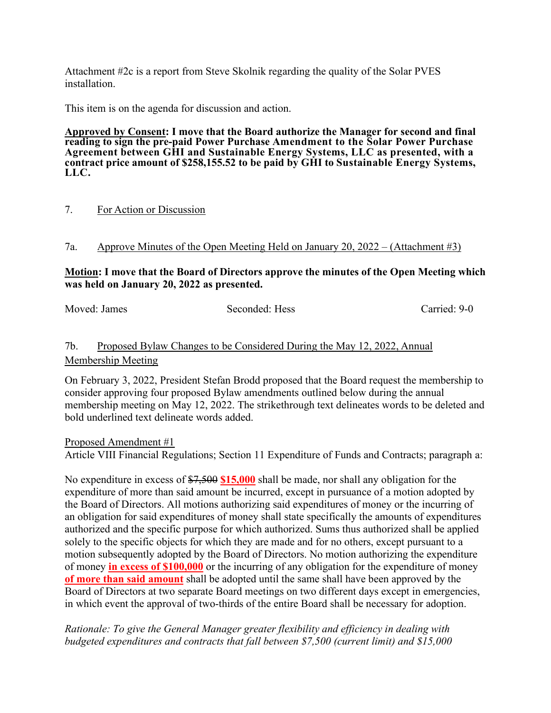Attachment #2c is a report from Steve Skolnik regarding the quality of the Solar PVES installation.

This item is on the agenda for discussion and action.

**Approved by Consent: I move that the Board authorize the Manager for second and final reading to sign the pre-paid Power Purchase Amendment to the Solar Power Purchase Agreement between GHI and Sustainable Energy Systems, LLC as presented, with a contract price amount of \$258,155.52 to be paid by GHI to Sustainable Energy Systems, LLC.**

#### 7. For Action or Discussion

7a. Approve Minutes of the Open Meeting Held on January 20, 2022 – (Attachment #3)

### **Motion: I move that the Board of Directors approve the minutes of the Open Meeting which was held on January 20, 2022 as presented.**

Moved: James Seconded: Hess Carried: 9-0

# 7b. Proposed Bylaw Changes to be Considered During the May 12, 2022, Annual Membership Meeting

On February 3, 2022, President Stefan Brodd proposed that the Board request the membership to consider approving four proposed Bylaw amendments outlined below during the annual membership meeting on May 12, 2022. The strikethrough text delineates words to be deleted and bold underlined text delineate words added.

Proposed Amendment #1

Article VIII Financial Regulations; Section 11 Expenditure of Funds and Contracts; paragraph a:

No expenditure in excess of \$7,500 **\$15,000** shall be made, nor shall any obligation for the expenditure of more than said amount be incurred, except in pursuance of a motion adopted by the Board of Directors. All motions authorizing said expenditures of money or the incurring of an obligation for said expenditures of money shall state specifically the amounts of expenditures authorized and the specific purpose for which authorized. Sums thus authorized shall be applied solely to the specific objects for which they are made and for no others, except pursuant to a motion subsequently adopted by the Board of Directors. No motion authorizing the expenditure of money **in excess of \$100,000** or the incurring of any obligation for the expenditure of money **of more than said amount** shall be adopted until the same shall have been approved by the Board of Directors at two separate Board meetings on two different days except in emergencies, in which event the approval of two-thirds of the entire Board shall be necessary for adoption.

## *Rationale: To give the General Manager greater flexibility and efficiency in dealing with budgeted expenditures and contracts that fall between \$7,500 (current limit) and \$15,000*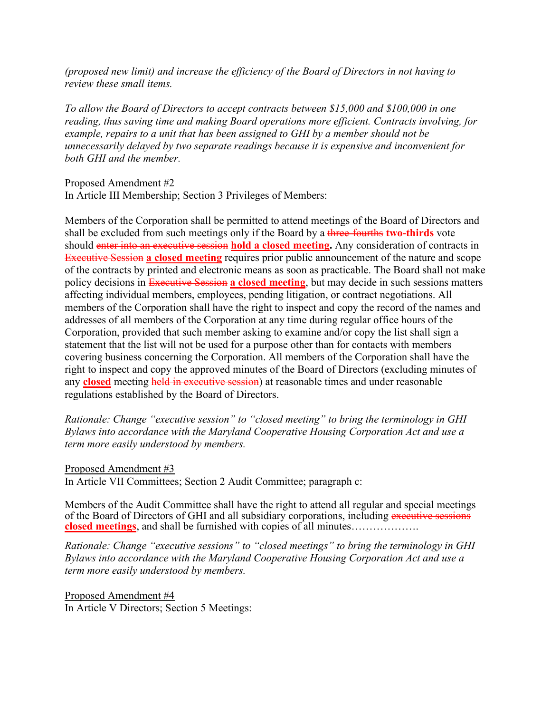*(proposed new limit) and increase the efficiency of the Board of Directors in not having to review these small items.*

*To allow the Board of Directors to accept contracts between \$15,000 and \$100,000 in one reading, thus saving time and making Board operations more efficient. Contracts involving, for example, repairs to a unit that has been assigned to GHI by a member should not be unnecessarily delayed by two separate readings because it is expensive and inconvenient for both GHI and the member.* 

#### Proposed Amendment #2

In Article III Membership; Section 3 Privileges of Members:

Members of the Corporation shall be permitted to attend meetings of the Board of Directors and shall be excluded from such meetings only if the Board by a three-fourths **two-thirds** vote should enter into an executive session **hold a closed meeting.** Any consideration of contracts in Executive Session **a closed meeting** requires prior public announcement of the nature and scope of the contracts by printed and electronic means as soon as practicable. The Board shall not make policy decisions in Executive Session **a closed meeting**, but may decide in such sessions matters affecting individual members, employees, pending litigation, or contract negotiations. All members of the Corporation shall have the right to inspect and copy the record of the names and addresses of all members of the Corporation at any time during regular office hours of the Corporation, provided that such member asking to examine and/or copy the list shall sign a statement that the list will not be used for a purpose other than for contacts with members covering business concerning the Corporation. All members of the Corporation shall have the right to inspect and copy the approved minutes of the Board of Directors (excluding minutes of any **closed** meeting held in executive session) at reasonable times and under reasonable regulations established by the Board of Directors.

*Rationale: Change "executive session" to "closed meeting" to bring the terminology in GHI Bylaws into accordance with the Maryland Cooperative Housing Corporation Act and use a term more easily understood by members.* 

#### Proposed Amendment #3

In Article VII Committees; Section 2 Audit Committee; paragraph c:

Members of the Audit Committee shall have the right to attend all regular and special meetings of the Board of Directors of GHI and all subsidiary corporations, including executive sessions **closed meetings**, and shall be furnished with copies of all minutes……………….

*Rationale: Change "executive sessions" to "closed meetings" to bring the terminology in GHI Bylaws into accordance with the Maryland Cooperative Housing Corporation Act and use a term more easily understood by members.*

Proposed Amendment #4 In Article V Directors; Section 5 Meetings: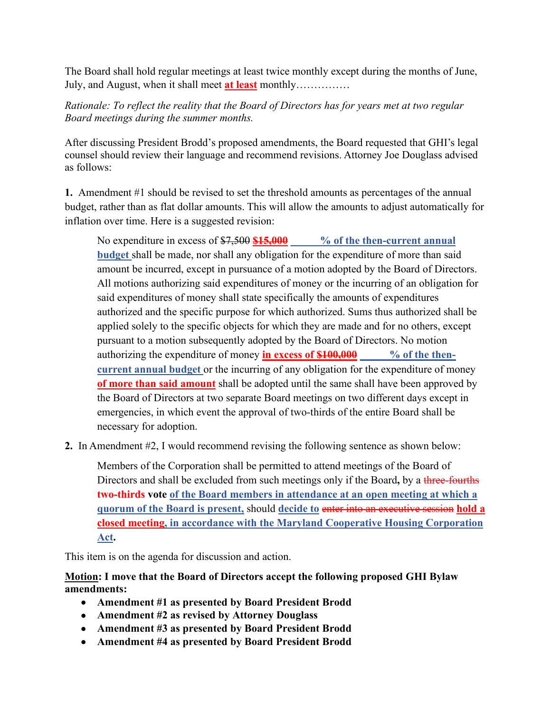The Board shall hold regular meetings at least twice monthly except during the months of June, July, and August, when it shall meet **at least** monthly……………

# *Rationale: To reflect the reality that the Board of Directors has for years met at two regular Board meetings during the summer months.*

After discussing President Brodd's proposed amendments, the Board requested that GHI's legal counsel should review their language and recommend revisions. Attorney Joe Douglass advised as follows:

**1.** Amendment #1 should be revised to set the threshold amounts as percentages of the annual budget, rather than as flat dollar amounts. This will allow the amounts to adjust automatically for inflation over time. Here is a suggested revision:

No expenditure in excess of  $\frac{$7,500}{$15,000}$  % of the then-current annual **budget** shall be made, nor shall any obligation for the expenditure of more than said amount be incurred, except in pursuance of a motion adopted by the Board of Directors. All motions authorizing said expenditures of money or the incurring of an obligation for said expenditures of money shall state specifically the amounts of expenditures authorized and the specific purpose for which authorized. Sums thus authorized shall be applied solely to the specific objects for which they are made and for no others, except pursuant to a motion subsequently adopted by the Board of Directors. No motion authorizing the expenditure of money **in excess of \$100,000** % of the then**current annual budget** or the incurring of any obligation for the expenditure of money **of more than said amount** shall be adopted until the same shall have been approved by the Board of Directors at two separate Board meetings on two different days except in emergencies, in which event the approval of two-thirds of the entire Board shall be necessary for adoption.

**2.** In Amendment #2, I would recommend revising the following sentence as shown below:

Members of the Corporation shall be permitted to attend meetings of the Board of Directors and shall be excluded from such meetings only if the Board**,** by a three-fourths **two-thirds vote of the Board members in attendance at an open meeting at which a quorum of the Board is present,** should **decide to** enter into an executive session **hold a closed meeting, in accordance with the Maryland Cooperative Housing Corporation Act.**

This item is on the agenda for discussion and action.

# **Motion: I move that the Board of Directors accept the following proposed GHI Bylaw amendments:**

- **Amendment #1 as presented by Board President Brodd**
- **Amendment #2 as revised by Attorney Douglass**
- **Amendment #3 as presented by Board President Brodd**
- **Amendment #4 as presented by Board President Brodd**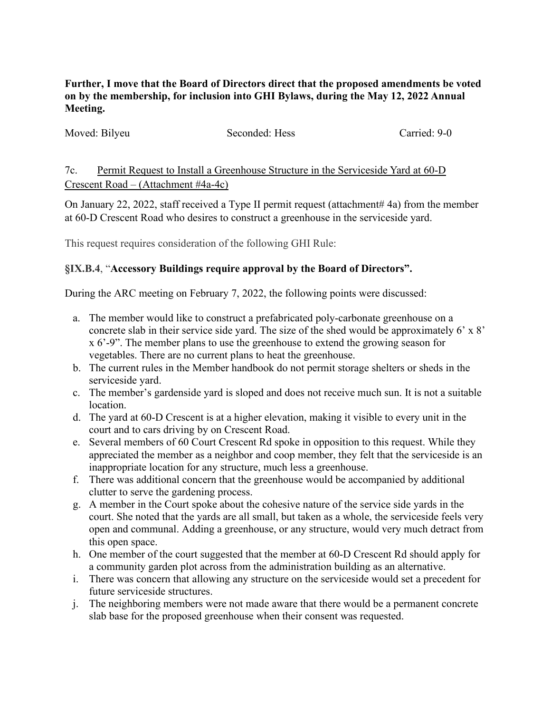**Further, I move that the Board of Directors direct that the proposed amendments be voted on by the membership, for inclusion into GHI Bylaws, during the May 12, 2022 Annual Meeting.**

| Moved: Bilyeu | Seconded: Hess | Carried: 9-0 |
|---------------|----------------|--------------|
|               |                |              |

7c. Permit Request to Install a Greenhouse Structure in the Serviceside Yard at 60-D Crescent Road – (Attachment #4a-4c)

On January 22, 2022, staff received a Type II permit request (attachment# 4a) from the member at 60-D Crescent Road who desires to construct a greenhouse in the serviceside yard.

This request requires consideration of the following GHI Rule:

# **§IX.B.4**, "**Accessory Buildings require approval by the Board of Directors".**

During the ARC meeting on February 7, 2022, the following points were discussed:

- a. The member would like to construct a prefabricated poly-carbonate greenhouse on a concrete slab in their service side yard. The size of the shed would be approximately 6' x 8' x 6'-9". The member plans to use the greenhouse to extend the growing season for vegetables. There are no current plans to heat the greenhouse.
- b. The current rules in the Member handbook do not permit storage shelters or sheds in the serviceside yard.
- c. The member's gardenside yard is sloped and does not receive much sun. It is not a suitable location.
- d. The yard at 60-D Crescent is at a higher elevation, making it visible to every unit in the court and to cars driving by on Crescent Road.
- e. Several members of 60 Court Crescent Rd spoke in opposition to this request. While they appreciated the member as a neighbor and coop member, they felt that the serviceside is an inappropriate location for any structure, much less a greenhouse.
- f. There was additional concern that the greenhouse would be accompanied by additional clutter to serve the gardening process.
- g. A member in the Court spoke about the cohesive nature of the service side yards in the court. She noted that the yards are all small, but taken as a whole, the serviceside feels very open and communal. Adding a greenhouse, or any structure, would very much detract from this open space.
- h. One member of the court suggested that the member at 60-D Crescent Rd should apply for a community garden plot across from the administration building as an alternative.
- i. There was concern that allowing any structure on the serviceside would set a precedent for future serviceside structures.
- j. The neighboring members were not made aware that there would be a permanent concrete slab base for the proposed greenhouse when their consent was requested.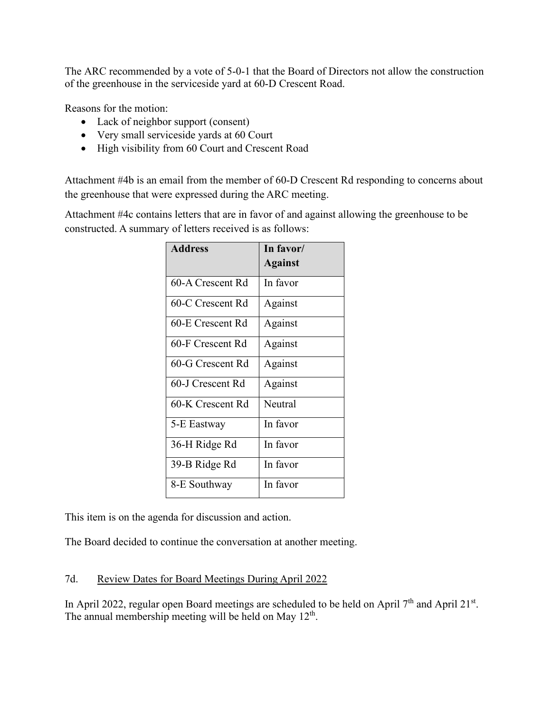The ARC recommended by a vote of 5-0-1 that the Board of Directors not allow the construction of the greenhouse in the serviceside yard at 60-D Crescent Road.

Reasons for the motion:

- Lack of neighbor support (consent)
- Very small serviceside yards at 60 Court
- High visibility from 60 Court and Crescent Road

Attachment #4b is an email from the member of 60-D Crescent Rd responding to concerns about the greenhouse that were expressed during the ARC meeting.

Attachment #4c contains letters that are in favor of and against allowing the greenhouse to be constructed. A summary of letters received is as follows:

| <b>Address</b>   | In favor/      |
|------------------|----------------|
|                  | <b>Against</b> |
| 60-A Crescent Rd | In favor       |
| 60-C Crescent Rd | Against        |
| 60-E Crescent Rd | Against        |
| 60-F Crescent Rd | Against        |
| 60-G Crescent Rd | Against        |
| 60-J Crescent Rd | Against        |
| 60-K Crescent Rd | Neutral        |
| 5-E Eastway      | In favor       |
| 36-H Ridge Rd    | In favor       |
| 39-B Ridge Rd    | In favor       |
| 8-E Southway     | In favor       |

This item is on the agenda for discussion and action.

The Board decided to continue the conversation at another meeting.

# 7d. Review Dates for Board Meetings During April 2022

In April 2022, regular open Board meetings are scheduled to be held on April 7<sup>th</sup> and April 21<sup>st</sup>. The annual membership meeting will be held on May 12<sup>th</sup>.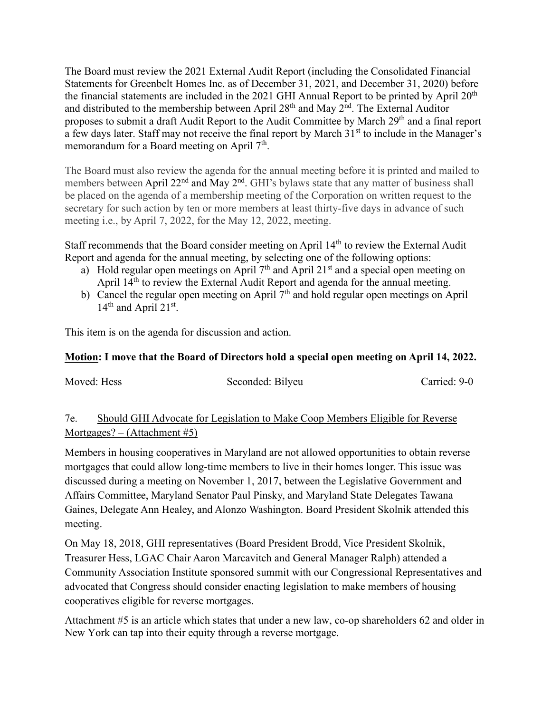The Board must review the 2021 External Audit Report (including the Consolidated Financial Statements for Greenbelt Homes Inc. as of December 31, 2021, and December 31, 2020) before the financial statements are included in the 2021 GHI Annual Report to be printed by April  $20<sup>th</sup>$ and distributed to the membership between April  $28<sup>th</sup>$  and May  $2<sup>nd</sup>$ . The External Auditor proposes to submit a draft Audit Report to the Audit Committee by March 29<sup>th</sup> and a final report a few days later. Staff may not receive the final report by March 31<sup>st</sup> to include in the Manager's memorandum for a Board meeting on April  $7<sup>th</sup>$ .

The Board must also review the agenda for the annual meeting before it is printed and mailed to members between April 22<sup>nd</sup> and May 2<sup>nd</sup>. GHI's bylaws state that any matter of business shall be placed on the agenda of a membership meeting of the Corporation on written request to the secretary for such action by ten or more members at least thirty-five days in advance of such meeting i.e., by April 7, 2022, for the May 12, 2022, meeting.

Staff recommends that the Board consider meeting on April 14<sup>th</sup> to review the External Audit Report and agenda for the annual meeting, by selecting one of the following options:

- a) Hold regular open meetings on April  $7<sup>th</sup>$  and April 21<sup>st</sup> and a special open meeting on April 14<sup>th</sup> to review the External Audit Report and agenda for the annual meeting.
- b) Cancel the regular open meeting on April  $7<sup>th</sup>$  and hold regular open meetings on April  $14<sup>th</sup>$  and April  $21<sup>st</sup>$ .

This item is on the agenda for discussion and action.

# **Motion: I move that the Board of Directors hold a special open meeting on April 14, 2022.**

Moved: Hess Seconded: Bilyeu Carried: 9-0

# 7e. Should GHI Advocate for Legislation to Make Coop Members Eligible for Reverse Mortgages? – (Attachment #5)

Members in housing cooperatives in Maryland are not allowed opportunities to obtain reverse mortgages that could allow long-time members to live in their homes longer. This issue was discussed during a meeting on November 1, 2017, between the Legislative Government and Affairs Committee, Maryland Senator Paul Pinsky, and Maryland State Delegates Tawana Gaines, Delegate Ann Healey, and Alonzo Washington. Board President Skolnik attended this meeting.

On May 18, 2018, GHI representatives (Board President Brodd, Vice President Skolnik, Treasurer Hess, LGAC Chair Aaron Marcavitch and General Manager Ralph) attended a Community Association Institute sponsored summit with our Congressional Representatives and advocated that Congress should consider enacting legislation to make members of housing cooperatives eligible for reverse mortgages.

Attachment #5 is an article which states that under a new law, co-op shareholders 62 and older in New York can tap into their equity through a reverse mortgage.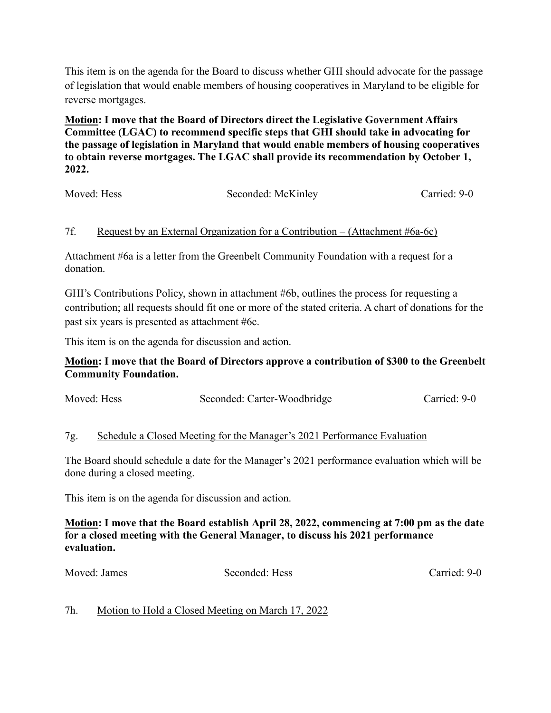This item is on the agenda for the Board to discuss whether GHI should advocate for the passage of legislation that would enable members of housing cooperatives in Maryland to be eligible for reverse mortgages.

**Motion: I move that the Board of Directors direct the Legislative Government Affairs Committee (LGAC) to recommend specific steps that GHI should take in advocating for the passage of legislation in Maryland that would enable members of housing cooperatives to obtain reverse mortgages. The LGAC shall provide its recommendation by October 1, 2022.** 

| Moved: Hess | Seconded: McKinley | Carried: 9-0 |
|-------------|--------------------|--------------|
|             |                    |              |

# 7f. Request by an External Organization for a Contribution – (Attachment #6a-6c)

Attachment #6a is a letter from the Greenbelt Community Foundation with a request for a donation.

GHI's Contributions Policy, shown in attachment #6b, outlines the process for requesting a contribution; all requests should fit one or more of the stated criteria. A chart of donations for the past six years is presented as attachment #6c.

This item is on the agenda for discussion and action.

## **Motion: I move that the Board of Directors approve a contribution of \$300 to the Greenbelt Community Foundation.**

| Moved: Hess | Seconded: Carter-Woodbridge | Carried: 9-0 |
|-------------|-----------------------------|--------------|
|-------------|-----------------------------|--------------|

### 7g. Schedule a Closed Meeting for the Manager's 2021 Performance Evaluation

The Board should schedule a date for the Manager's 2021 performance evaluation which will be done during a closed meeting.

This item is on the agenda for discussion and action.

## **Motion: I move that the Board establish April 28, 2022, commencing at 7:00 pm as the date for a closed meeting with the General Manager, to discuss his 2021 performance evaluation.**

Moved: James Seconded: Hess Carried: 9-0

### 7h. Motion to Hold a Closed Meeting on March 17, 2022